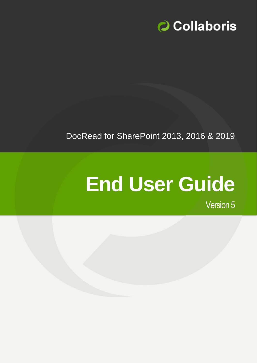

## DocRead for SharePoint 2013, 2016 & 2019

# **End User Guide**

Version 5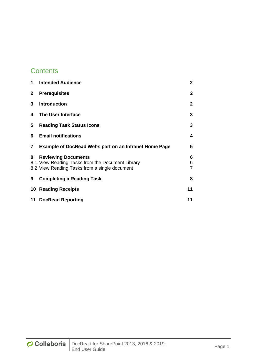### **Contents**

| 1            | <b>Intended Audience</b>                                                                          | $\mathbf{2}$ |
|--------------|---------------------------------------------------------------------------------------------------|--------------|
| $\mathbf{2}$ | <b>Prerequisites</b>                                                                              | $\mathbf{2}$ |
| 3            | <b>Introduction</b>                                                                               | $\mathbf{2}$ |
| 4            | The User Interface                                                                                | 3            |
| 5.           | <b>Reading Task Status Icons</b>                                                                  | 3            |
| 6            | <b>Email notifications</b>                                                                        | 4            |
| 7            | <b>Example of DocRead Webs part on an Intranet Home Page</b>                                      | 5            |
| 8            |                                                                                                   |              |
|              |                                                                                                   | 6            |
|              | <b>Reviewing Documents</b>                                                                        | 6            |
|              | 8.1 View Reading Tasks from the Document Library<br>8.2 View Reading Tasks from a single document | 7            |
| 9            | <b>Completing a Reading Task</b>                                                                  | 8            |
| 10           | <b>Reading Receipts</b>                                                                           | 11           |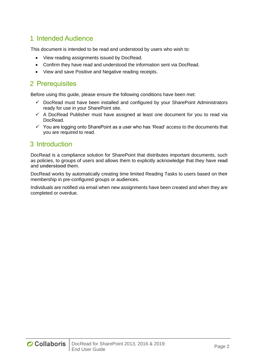#### <span id="page-2-0"></span>1 Intended Audience

This document is intended to be read and understood by users who wish to:

- View reading assignments issued by DocRead.
- Confirm they have read and understood the information sent via DocRead.
- View and save Positive and Negative reading receipts.

#### <span id="page-2-1"></span>2 Prerequisites

Before using this guide, please ensure the following conditions have been met:

- $\checkmark$  DocRead must have been installed and configured by your SharePoint Administrators ready for use in your SharePoint site.
- $\checkmark$  A DocRead Publisher must have assigned at least one document for you to read via DocRead.
- $\checkmark$  You are logging onto SharePoint as a user who has 'Read' access to the documents that you are required to read.

#### <span id="page-2-2"></span>3 Introduction

DocRead is a compliance solution for SharePoint that distributes important documents, such as policies, to groups of users and allows them to explicitly acknowledge that they have **read** and **understood** them.

DocRead works by automatically creating time limited Reading Tasks to users based on their membership in pre-configured groups or audiences.

Individuals are notified via email when new assignments have been created and when they are completed or overdue.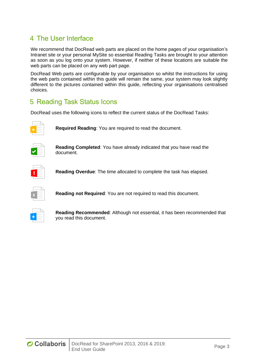#### <span id="page-3-0"></span>4 The User Interface

We recommend that DocRead web parts are placed on the home pages of your organisation's Intranet site or your personal MySite so essential Reading Tasks are brought to your attention as soon as you log onto your system. However, if neither of these locations are suitable the web parts can be placed on any web part page.

DocRead Web parts are configurable by your organisation so whilst the instructions for using the web parts contained within this guide will remain the same, your system may look slightly different to the pictures contained within this guide, reflecting your organisations centralised choices.

#### <span id="page-3-1"></span>5 Reading Task Status Icons

DocRead uses the following icons to reflect the current status of the DocRead Tasks:



**Required Reading**: You are required to read the document.



**Reading Completed**: You have already indicated that you have read the document.



**Reading Overdue**: The time allocated to complete the task has elapsed.



**Reading not Required**: You are not required to read this document.



**Reading Recommended**: Although not essential, it has been recommended that you read this document.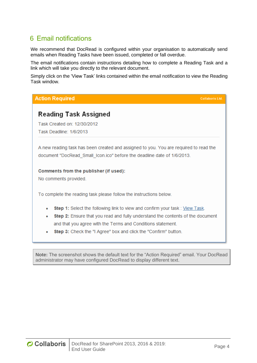#### <span id="page-4-0"></span>6 Email notifications

We recommend that DocRead is configured within your organisation to automatically send emails when Reading Tasks have been issued, completed or fall overdue.

The email notifications contain instructions detailing how to complete a Reading Task and a link which will take you directly to the relevant document.

Simply click on the 'View Task' links contained within the email notification to view the Reading Task window.

| <b>Action Required</b><br><b>Collaboris Ltd.</b>                                                                                                                                                                                                                                                                        |  |
|-------------------------------------------------------------------------------------------------------------------------------------------------------------------------------------------------------------------------------------------------------------------------------------------------------------------------|--|
| Reading Task Assigned<br>Task Created on: 12/30/2012<br>Task Deadline: 1/6/2013                                                                                                                                                                                                                                         |  |
| A new reading task has been created and assigned to you. You are required to read the<br>document "DocRead Small Icon.ico" before the deadline date of 1/6/2013.                                                                                                                                                        |  |
| Comments from the publisher (if used):<br>No comments provided.                                                                                                                                                                                                                                                         |  |
| To complete the reading task please follow the instructions below.                                                                                                                                                                                                                                                      |  |
| Step 1: Select the following link to view and confirm your task: View Task.<br>٠<br><b>Step 2:</b> Ensure that you read and fully understand the contents of the document<br>٠<br>and that you agree with the Terms and Conditions statement.<br><b>Step 3:</b> Check the "I Agree" box and click the "Confirm" button. |  |

**Note:** The screenshot shows the default text for the "Action Required" email. Your DocRead administrator may have configured DocRead to display different text.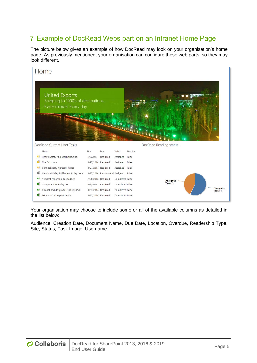#### <span id="page-5-0"></span>7 Example of DocRead Webs part on an Intranet Home Page

The picture below gives an example of how DocRead may look on your organisation's home page. As previously mentioned, your organisation can configure these web parts, so they may look different.

|    | Home                                                                                    |                                          |                                        |                 |         |                        |                             |                  |
|----|-----------------------------------------------------------------------------------------|------------------------------------------|----------------------------------------|-----------------|---------|------------------------|-----------------------------|------------------|
|    | <b>United Exports</b><br>Shipping to 1000's of destinations.<br>Every minute. Every day |                                          |                                        |                 |         |                        |                             |                  |
|    | DocRead Current User Tasks                                                              |                                          | <b>All Branch Control Profit Party</b> |                 |         |                        |                             |                  |
|    |                                                                                         |                                          |                                        |                 |         | DocRead Reading status |                             |                  |
|    | Name                                                                                    | Due                                      | <b>Type</b>                            | Status          | Overdue |                        |                             |                  |
| a) | Health Safety And Wellbeing.docx<br>Fire Exits.docx                                     | 8/7/2013                                 | Required                               | Assigned        | False   |                        |                             |                  |
| 輔  | Confidentiality Agreement.doc                                                           | 1/27/2014 Required<br>1/27/2014 Required |                                        | Assigned        | False   |                        |                             |                  |
| 輯  | Annual Holiday Entitlement Policy.docx                                                  |                                          | 1/27/2014 Recommend Assigned False     | Assigned False  |         |                        |                             |                  |
| ×, | Accident reporting policy.docx                                                          | 7/30/2013 Required                       |                                        | Completed False |         |                        |                             |                  |
| Ø  | Computer Use Policy.doc                                                                 | 8/1/2013 Required                        |                                        | Completed False |         |                        | <b>Assigned</b><br>Tasks: 3 |                  |
| Ø  | Alcohol and drug abuse policy.docx                                                      | 1/27/2014 Required                       |                                        | Completed False |         |                        |                             | <b>Completed</b> |
| Ø  | Bribery Act Compliance.doc                                                              | 1/27/2014 Required                       |                                        | Completed False |         |                        |                             | Tasks: 4         |

Your organisation may choose to include some or all of the available columns as detailed in the list below:

Audience, Creation Date, Document Name, Due Date, Location, Overdue, Readership Type, Site, Status, Task Image, Username.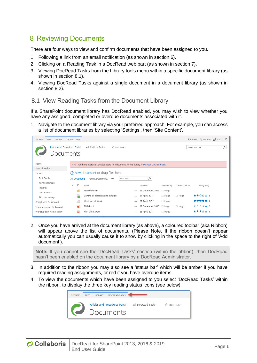#### <span id="page-6-0"></span>8 Reviewing Documents

There are four ways to view and confirm documents that have been assigned to you.

- 1. Following a link from an email notification (as shown in section 6).
- 2. Clicking on a Reading Task in a DocRead web part (as shown in section 7).
- 3. Viewing DocRead Tasks from the Library tools menu within a specific document library (as shown in section 8.1).
- 4. Viewing DocRead Tasks against a single document in a document library (as shown in section 8.2).

#### <span id="page-6-1"></span>8.1 View Reading Tasks from the Document Library

If a SharePoint document library has DocRead enabled, you may wish to view whether you have any assigned, completed or overdue documents associated with it.

1. Navigate to the document library via your preferred approach. For example, you can access a list of document libraries by selecting 'Settings', then 'Site Content'.

| LIBRARY<br><b>BROWSE</b><br><b>FILES</b>           | DOCREAD TASKS        |                                                                                                                                                                                                                                |          |                   |             |                | $\bigcirc$ share $\bigcirc$ follow $\bigcirc$ sync |                | [a] |
|----------------------------------------------------|----------------------|--------------------------------------------------------------------------------------------------------------------------------------------------------------------------------------------------------------------------------|----------|-------------------|-------------|----------------|----------------------------------------------------|----------------|-----|
| <b>Policies and Procedures Portal</b><br>Documents |                      | All DocRead Tasks<br>$\angle$ EDIT LINKS                                                                                                                                                                                       |          |                   |             |                | Search this site                                   |                | α   |
| Home                                               | (x)                  | You have overdue DocRead tasks for documents in this library. View your DocRead tasks                                                                                                                                          |          |                   |             |                |                                                    |                |     |
| View All Policies                                  |                      |                                                                                                                                                                                                                                |          |                   |             |                |                                                    |                |     |
| Recent                                             |                      | A new document or drag files here                                                                                                                                                                                              |          |                   |             |                |                                                    |                |     |
| Test Doc Lib                                       | <b>All Documents</b> | Find a file<br><b>Recent Documents</b><br>$\cdots$                                                                                                                                                                             |          | α                 |             |                |                                                    |                |     |
| Announcements                                      |                      |                                                                                                                                                                                                                                |          |                   |             |                |                                                    |                |     |
| Pictures                                           | $\checkmark$         | Name                                                                                                                                                                                                                           |          | Modified          | Modified By | Checked Out To |                                                    | Rating (0-5)   |     |
| Documents 1                                        |                      | TestFolder444                                                                                                                                                                                                                  | $\cdots$ | 29 December, 2015 | $\Box$ Hugo |                |                                                    |                |     |
| Rich text survey                                   | 墨                    | Control of diesel engine exhaust                                                                                                                                                                                               | $\cdots$ | 21 April, 2017    | $\Box$ Hugo | $\Box$ Hugo    |                                                    | ★★☆☆☆  1       |     |
| Compliance Dashboard                               | 國                    | Electricity at Work                                                                                                                                                                                                            |          | 21 April, 2017    | $\Box$ Hugo |                |                                                    | ★★★★☆  1       |     |
| Team Members Dashboard                             | 唏                    | EMMRoot                                                                                                                                                                                                                        |          | 22 December, 2015 | $\Box$ Hugo | $\Box$ Hugo    |                                                    | *****10        |     |
| Working from home policy                           | 國                    | First aid at work                                                                                                                                                                                                              | $\cdots$ | 25 April, 2017    | $\Box$ Hugo |                |                                                    | ★★★☆☆ 1        |     |
| Warking from home nation                           |                      | the contract of the state of the contract of the state of the state of the state of the state of the state of the state of the state of the state of the state of the state of the state of the state of the state of the stat |          |                   |             |                |                                                    | مالمام المناسب |     |

2. Once you have arrived at the document library (as above), a coloured toolbar (aka Ribbon) will appear above the list of documents. (Please Note, if the ribbon doesn't appear automatically you can usually cause it to show by clicking in the space to the right of 'Add document').

**Note:** If you cannot see the 'DocRead Tasks' section (within the ribbon), then DocRead hasn't been enabled on the document library by a DocRead Administrator.

- 3. In addition to the ribbon you may also see a 'status bar' which will be amber if you have required reading assignments, or red if you have overdue items.
- 4. To view the documents which have been assigned to you select 'DocRead Tasks' within the ribbon, to display the three key reading status icons (see below).

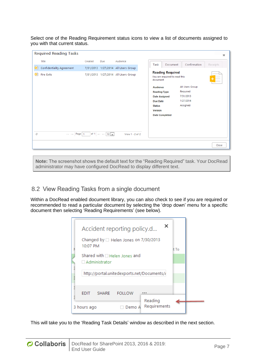Select one of the Reading Requirement status icons to view a list of documents assigned to you with that current status.

|    | <b>Required Reading Tasks</b>                              |         |                                                |                                     |                                                                      | $\mathbbm{R}$ |
|----|------------------------------------------------------------|---------|------------------------------------------------|-------------------------------------|----------------------------------------------------------------------|---------------|
|    | Title                                                      | Created | Due                                            | Audience                            | Confirmation<br>Task<br>Receipts<br>Document                         |               |
| ۵ì | Confidentiality Agreement                                  |         |                                                | 7/31/2013 1/27/2014 All Users Group |                                                                      |               |
| G) | <b>Fire Exits</b>                                          |         |                                                | 7/31/2013 1/27/2014 All Users Group | <b>Reading Required</b><br>You are required to read this<br>document |               |
|    |                                                            |         |                                                |                                     | All Users Group<br><b>Audience</b>                                   |               |
|    |                                                            |         |                                                |                                     | Required<br><b>Reading Type</b><br>7/31/2013                         |               |
|    |                                                            |         |                                                |                                     | <b>Date Assigned</b><br>1/27/2014<br><b>Due Date</b>                 |               |
|    |                                                            |         |                                                |                                     | Assigned<br><b>Status</b>                                            |               |
|    |                                                            |         |                                                |                                     | <b>Version</b>                                                       |               |
|    |                                                            |         |                                                |                                     | <b>Date Completed</b>                                                |               |
|    |                                                            |         |                                                |                                     |                                                                      |               |
|    |                                                            |         |                                                |                                     |                                                                      |               |
| ٦  | $\vert \cdot \vert$ $\vert \cdot \vert \cdot \vert$ Page 1 |         | of 1 $\Rightarrow$ $\Rightarrow$ 10 $\sqrt{ }$ | View 1 - 2 of 2                     |                                                                      |               |
|    |                                                            |         |                                                |                                     |                                                                      | Close         |

**Note:** The screenshot shows the default text for the "Reading Required" task. Your DocRead administrator may have configured DocRead to display different text.

#### <span id="page-7-0"></span>8.2 View Reading Tasks from a single document

Within a DocRead enabled document library, you can also check to see if you are required or recommended to read a particular document by selecting the 'drop down' menu for a specific document then selecting 'Reading Requirements' (see below).

|                                                        |  | Accident reporting policy.d | ×                       |  |  |  |  |  |  |
|--------------------------------------------------------|--|-----------------------------|-------------------------|--|--|--|--|--|--|
| Changed by $\Box$ Helen Jones on 7/30/2013<br>10:07 PM |  |                             |                         |  |  |  |  |  |  |
| Shared with □ Helen Jones and<br>$\Box$ Administrator  |  |                             |                         |  |  |  |  |  |  |
| http://portal.unitedexports.net/Documents//            |  |                             |                         |  |  |  |  |  |  |
| <b>FDIT</b>                                            |  | SHARE FOLLOW                |                         |  |  |  |  |  |  |
| 3 hours ago                                            |  | Demo A                      | Reading<br>Requirements |  |  |  |  |  |  |

This will take you to the 'Reading Task Details' window as described in the next section.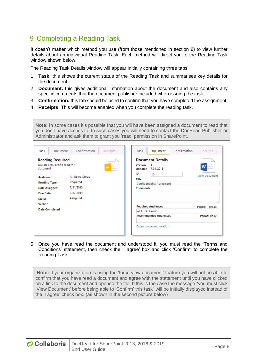#### <span id="page-8-0"></span>9 Completing a Reading Task

It doesn't matter which method you use (from those mentioned in section 8) to view further details about an individual Reading Task. Each method will direct you to the Reading Task window shown below.

The Reading Task Details window will appear initially containing three tabs.

- 1. **Task:** this shows the current status of the Reading Task and summarises key details for the document.
- 2. **Document:** this gives additional information about the document and also contains any specific comments that the document publisher included when issuing the task.
- 3. **Confirmation:** this tab should be used to confirm that you have completed the assignment.
- 4. **Receipts:** This will become enabled when you complete the reading task.

**Note:** In some cases it's possible that you will have been assigned a document to read that you don't have access to. In such cases you will need to contact the DocRead Publisher or Administrator and ask them to grant you 'read' permission in SharePoint.

| Task<br><b>Document</b>                                              | Confirmation    | Receipts | Confirmation<br>Task<br>Document                                        | Receipts             |
|----------------------------------------------------------------------|-----------------|----------|-------------------------------------------------------------------------|----------------------|
| <b>Reading Required</b><br>You are required to read this<br>document |                 |          | <b>Document Details</b><br><b>Version</b><br>7/31/2013<br>Updated<br>ID | W                    |
| <b>Audience</b>                                                      | All Users Group |          | 10                                                                      | <b>View Document</b> |
| <b>Reading Type</b>                                                  | Required        |          | <b>Title</b><br><b>Confidentiality Agreement</b>                        |                      |
| <b>Date Assigned</b>                                                 | 7/31/2013       |          | <b>Comments</b>                                                         |                      |
| Due Date                                                             | 1/27/2014       |          |                                                                         |                      |
| <b>Status</b>                                                        | Assigned        |          |                                                                         |                      |
| <b>Version</b>                                                       |                 |          | <b>Required Audiences</b>                                               | 4<br>Period: 180days |
| <b>Date Completed</b>                                                |                 |          | All Users Group                                                         |                      |
|                                                                      |                 |          | <b>Recommended Audiences</b>                                            | Period: Odays        |
|                                                                      |                 |          | Open document location                                                  |                      |

5. Once you have read the document and understood it, you must read the 'Terms and Conditions' statement, then check the 'I agree' box and click 'Confirm' to complete the Reading Task.

**Note:** If your organization is using the 'force view document' feature you will not be able to confirm that you have read a document and agree with the statement until you have clicked on a link to the document and opened the file. If this is the case the message "you must click 'View Document' before being able to 'Confirm' this task" will be initially displayed instead of the 'I agree' check box. (as shown in the second picture below)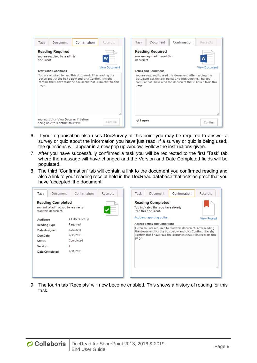| Confirmation<br>Task<br>Document                                                                                                                                                                | Task<br>Receipts                 | Document                                                 | Confirmation<br>Receipts                                                                                                                                                               |
|-------------------------------------------------------------------------------------------------------------------------------------------------------------------------------------------------|----------------------------------|----------------------------------------------------------|----------------------------------------------------------------------------------------------------------------------------------------------------------------------------------------|
| <b>Reading Required</b><br>You are required to read this<br>W<br>document                                                                                                                       | document<br><b>View Document</b> | <b>Reading Required</b><br>You are required to read this | <b>View Document</b>                                                                                                                                                                   |
| <b>Terms and Conditions</b>                                                                                                                                                                     |                                  | <b>Terms and Conditions</b>                              |                                                                                                                                                                                        |
| You are required to read this document. After reading the<br>document tick the box below and click Confirm. I hereby<br>confirm that I have read the document that is linked from this<br>page. | page.                            |                                                          | You are required to read this document. After reading the<br>document tick the box below and click Confirm. I hereby<br>confirm that I have read the document that is linked from this |
| You must click 'View Document' before<br>being able to 'Confirm' this task.                                                                                                                     | $\sqrt{}$ I agree<br>Confirm     |                                                          | Confirm                                                                                                                                                                                |

- 6. If your organisation also uses DocSurvey at this point you may be required to answer a survey or quiz about the information you have just read. If a survey or quiz is being used, the questions will appear in a new pop up window. Follow the instructions given.
- 7. After you have successfully confirmed a task you will be redirected to the first 'Task' tab where the message will have changed and the Version and Date Completed fields will be populated.
- 8. The third 'Confirmation' tab will contain a link to the document you confirmed reading and also a link to your reading receipt held in the DocRead database that acts as proof that you have 'accepted' the document.



9. The fourth tab 'Receipts' will now become enabled. This shows a history of reading for this task.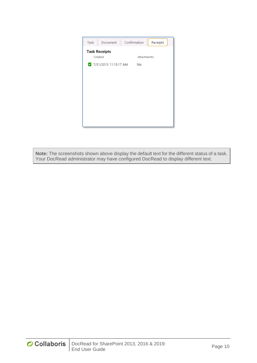| Task | Document              | Confirmation | Receipts |
|------|-----------------------|--------------|----------|
|      | <b>Task Receipts</b>  |              |          |
|      | Created               | Attachments  |          |
|      | 7/31/2013 11:15:17 AM | No           |          |
|      |                       |              |          |
|      |                       |              |          |
|      |                       |              |          |
|      |                       |              |          |
|      |                       |              |          |
|      |                       |              |          |
|      |                       |              |          |
|      |                       |              |          |
|      |                       |              |          |
|      |                       |              |          |

**Note:** The screenshots shown above display the default text for the different status of a task. Your DocRead administrator may have configured DocRead to display different text.